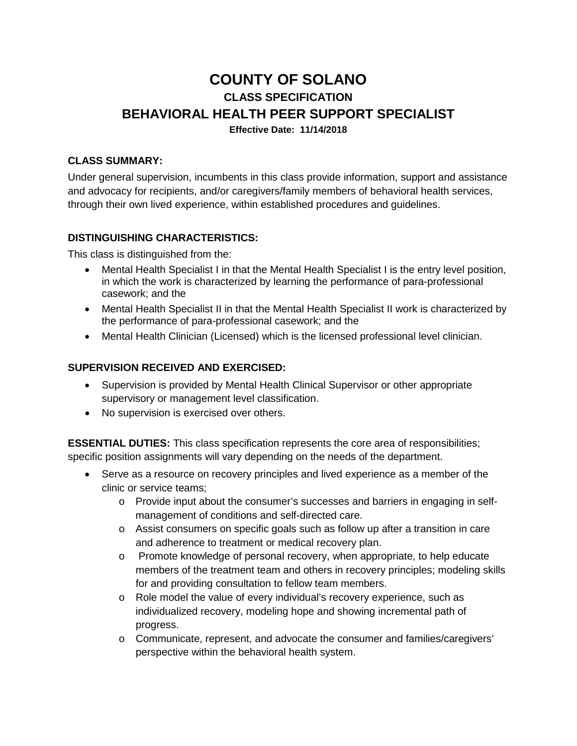# **COUNTY OF SOLANO CLASS SPECIFICATION BEHAVIORAL HEALTH PEER SUPPORT SPECIALIST Effective Date: 11/14/2018**

#### **CLASS SUMMARY:**

Under general supervision, incumbents in this class provide information, support and assistance and advocacy for recipients, and/or caregivers/family members of behavioral health services, through their own lived experience, within established procedures and guidelines.

#### **DISTINGUISHING CHARACTERISTICS:**

This class is distinguished from the:

- Mental Health Specialist I in that the Mental Health Specialist I is the entry level position, in which the work is characterized by learning the performance of para-professional casework; and the
- Mental Health Specialist II in that the Mental Health Specialist II work is characterized by the performance of para-professional casework; and the
- Mental Health Clinician (Licensed) which is the licensed professional level clinician.

#### **SUPERVISION RECEIVED AND EXERCISED:**

- Supervision is provided by Mental Health Clinical Supervisor or other appropriate supervisory or management level classification.
- No supervision is exercised over others.

**ESSENTIAL DUTIES:** This class specification represents the core area of responsibilities; specific position assignments will vary depending on the needs of the department.

- Serve as a resource on recovery principles and lived experience as a member of the clinic or service teams;
	- o Provide input about the consumer's successes and barriers in engaging in selfmanagement of conditions and self-directed care.
	- $\circ$  Assist consumers on specific goals such as follow up after a transition in care and adherence to treatment or medical recovery plan.
	- o Promote knowledge of personal recovery, when appropriate, to help educate members of the treatment team and others in recovery principles; modeling skills for and providing consultation to fellow team members.
	- o Role model the value of every individual's recovery experience, such as individualized recovery, modeling hope and showing incremental path of progress.
	- o Communicate, represent, and advocate the consumer and families/caregivers' perspective within the behavioral health system.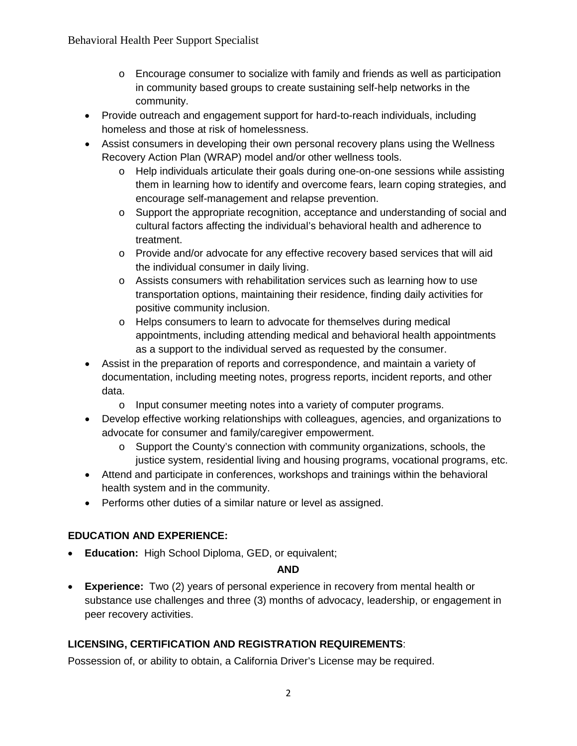- $\circ$  Encourage consumer to socialize with family and friends as well as participation in community based groups to create sustaining self-help networks in the community.
- Provide outreach and engagement support for hard-to-reach individuals, including homeless and those at risk of homelessness.
- Assist consumers in developing their own personal recovery plans using the Wellness Recovery Action Plan (WRAP) model and/or other wellness tools.
	- o Help individuals articulate their goals during one-on-one sessions while assisting them in learning how to identify and overcome fears, learn coping strategies, and encourage self-management and relapse prevention.
	- o Support the appropriate recognition, acceptance and understanding of social and cultural factors affecting the individual's behavioral health and adherence to treatment.
	- o Provide and/or advocate for any effective recovery based services that will aid the individual consumer in daily living.
	- o Assists consumers with rehabilitation services such as learning how to use transportation options, maintaining their residence, finding daily activities for positive community inclusion.
	- o Helps consumers to learn to advocate for themselves during medical appointments, including attending medical and behavioral health appointments as a support to the individual served as requested by the consumer.
- Assist in the preparation of reports and correspondence, and maintain a variety of documentation, including meeting notes, progress reports, incident reports, and other data.
	- o Input consumer meeting notes into a variety of computer programs.
- Develop effective working relationships with colleagues, agencies, and organizations to advocate for consumer and family/caregiver empowerment.
	- $\circ$  Support the County's connection with community organizations, schools, the justice system, residential living and housing programs, vocational programs, etc.
- Attend and participate in conferences, workshops and trainings within the behavioral health system and in the community.
- Performs other duties of a similar nature or level as assigned.

# **EDUCATION AND EXPERIENCE:**

• **Education:** High School Diploma, GED, or equivalent;

#### **AND**

• **Experience:** Two (2) years of personal experience in recovery from mental health or substance use challenges and three (3) months of advocacy, leadership, or engagement in peer recovery activities.

# **LICENSING, CERTIFICATION AND REGISTRATION REQUIREMENTS**:

Possession of, or ability to obtain, a California Driver's License may be required.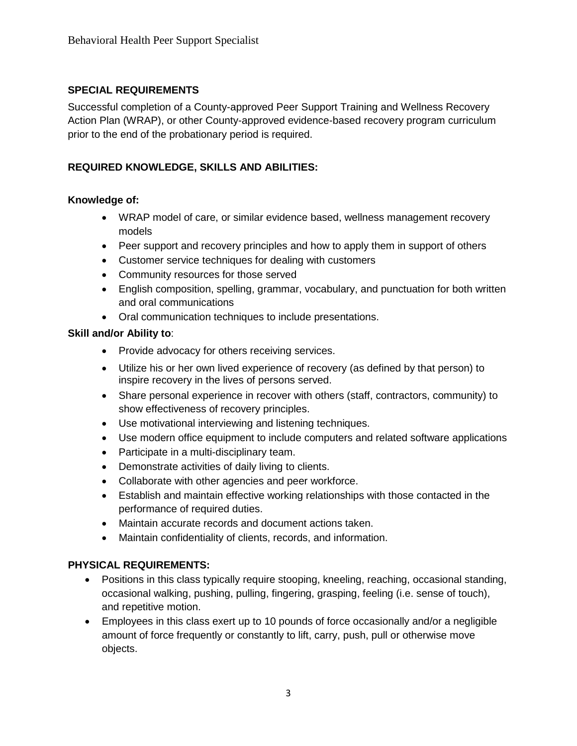### **SPECIAL REQUIREMENTS**

Successful completion of a County-approved Peer Support Training and Wellness Recovery Action Plan (WRAP), or other County-approved evidence-based recovery program curriculum prior to the end of the probationary period is required.

## **REQUIRED KNOWLEDGE, SKILLS AND ABILITIES:**

#### **Knowledge of:**

- WRAP model of care, or similar evidence based, wellness management recovery models
- Peer support and recovery principles and how to apply them in support of others
- Customer service techniques for dealing with customers
- Community resources for those served
- English composition, spelling, grammar, vocabulary, and punctuation for both written and oral communications
- Oral communication techniques to include presentations.

#### **Skill and/or Ability to**:

- Provide advocacy for others receiving services.
- Utilize his or her own lived experience of recovery (as defined by that person) to inspire recovery in the lives of persons served.
- Share personal experience in recover with others (staff, contractors, community) to show effectiveness of recovery principles.
- Use motivational interviewing and listening techniques.
- Use modern office equipment to include computers and related software applications
- Participate in a multi-disciplinary team.
- Demonstrate activities of daily living to clients.
- Collaborate with other agencies and peer workforce.
- Establish and maintain effective working relationships with those contacted in the performance of required duties.
- Maintain accurate records and document actions taken.
- Maintain confidentiality of clients, records, and information.

#### **PHYSICAL REQUIREMENTS:**

- Positions in this class typically require stooping, kneeling, reaching, occasional standing, occasional walking, pushing, pulling, fingering, grasping, feeling (i.e. sense of touch), and repetitive motion.
- Employees in this class exert up to 10 pounds of force occasionally and/or a negligible amount of force frequently or constantly to lift, carry, push, pull or otherwise move objects.